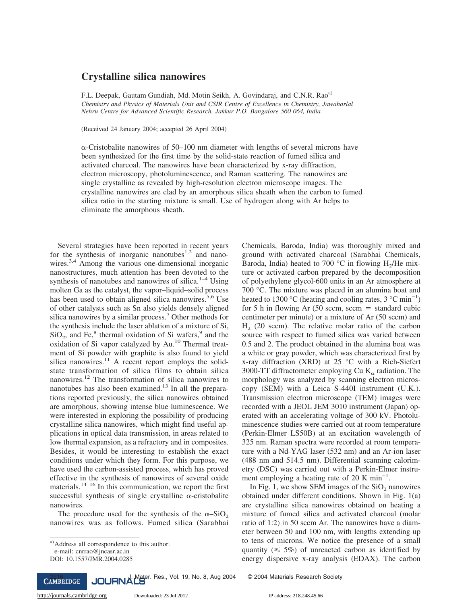## **Crystalline silica nanowires**

F.L. Deepak, Gautam Gundiah, Md. Motin Seikh, A. Govindaraj, and C.N.R. Rao<sup>a)</sup> *Chemistry and Physics of Materials Unit and CSIR Centre of Excellence in Chemistry, Jawaharlal Nehru Centre for Advanced Scientific Research, Jakkur P.O. Bangalore 560 064, India*

(Received 24 January 2004; accepted 26 April 2004)

 $\alpha$ -Cristobalite nanowires of 50–100 nm diameter with lengths of several microns have been synthesized for the first time by the solid-state reaction of fumed silica and activated charcoal. The nanowires have been characterized by x-ray diffraction, electron microscopy, photoluminescence, and Raman scattering. The nanowires are single crystalline as revealed by high-resolution electron microscope images. The crystalline nanowires are clad by an amorphous silica sheath when the carbon to fumed silica ratio in the starting mixture is small. Use of hydrogen along with Ar helps to eliminate the amorphous sheath.

Several strategies have been reported in recent years for the synthesis of inorganic nanotubes<sup>1,2</sup> and nanowires.<sup>3,4</sup> Among the various one-dimensional inorganic nanostructures, much attention has been devoted to the synthesis of nanotubes and nanowires of silica. $1-4$  Using molten Ga as the catalyst, the vapor–liquid–solid process has been used to obtain aligned silica nanowires.<sup>5,6</sup> Use of other catalysts such as Sn also yields densely aligned silica nanowires by a similar process.<sup>7</sup> Other methods for the synthesis include the laser ablation of a mixture of Si,  $SiO<sub>2</sub>$ , and Fe,<sup>8</sup> thermal oxidation of Si wafers,<sup>9</sup> and the oxidation of Si vapor catalyzed by Au.<sup>10</sup> Thermal treatment of Si powder with graphite is also found to yield silica nanowires.<sup>11</sup> A recent report employs the solidstate transformation of silica films to obtain silica nanowires.<sup>12</sup> The transformation of silica nanowires to nanotubes has also been examined.<sup>13</sup> In all the preparations reported previously, the silica nanowires obtained are amorphous, showing intense blue luminescence. We were interested in exploring the possibility of producing crystalline silica nanowires, which might find useful applications in optical data transmission, in areas related to low thermal expansion, as a refractory and in composites. Besides, it would be interesting to establish the exact conditions under which they form. For this purpose, we have used the carbon-assisted process, which has proved effective in the synthesis of nanowires of several oxide materials. $14-16$  In this communication, we report the first successful synthesis of single crystalline  $\alpha$ -cristobalite nanowires.

The procedure used for the synthesis of the  $\alpha$ -SiO<sub>2</sub> nanowires was as follows. Fumed silica (Sarabhai

Chemicals, Baroda, India) was thoroughly mixed and ground with activated charcoal (Sarabhai Chemicals, Baroda, India) heated to 700  $^{\circ}$ C in flowing H<sub>2</sub>/He mixture or activated carbon prepared by the decomposition of polyethylene glycol-600 units in an Ar atmosphere at 700 °C. The mixture was placed in an alumina boat and heated to 1300 °C (heating and cooling rates,  $3 \text{ °C min}^{-1}$ ) for 5 h in flowing Ar  $(50 \text{ sccm}, \text{sccm} = \text{standard cubic})$ centimeter per minute) or a mixture of Ar (50 sccm) and  $H<sub>2</sub>$  (20 sccm). The relative molar ratio of the carbon source with respect to fumed silica was varied between 0.5 and 2. The product obtained in the alumina boat was a white or gray powder, which was characterized first by x-ray diffraction (XRD) at  $25 °C$  with a Rich-Siefert 3000-TT diffractometer employing Cu  $K_{\alpha}$  radiation. The morphology was analyzed by scanning electron microscopy (SEM) with a Leica S-440I instrument (U.K.). Transmission electron microscope (TEM) images were recorded with a JEOL JEM 3010 instrument (Japan) operated with an accelerating voltage of 300 kV. Photoluminescence studies were carried out at room temperature (Perkin-Elmer LS50B) at an excitation wavelength of 325 nm. Raman spectra were recorded at room temperature with a Nd-YAG laser (532 nm) and an Ar-ion laser (488 nm and 514.5 nm). Differential scanning calorimetry (DSC) was carried out with a Perkin-Elmer instrument employing a heating rate of 20 K min−1.

In Fig. 1, we show SEM images of the  $SiO<sub>2</sub>$  nanowires obtained under different conditions. Shown in Fig. 1(a) are crystalline silica nanowires obtained on heating a mixture of fumed silica and activated charcoal (molar ratio of 1:2) in 50 sccm Ar. The nanowires have a diameter between 50 and 100 nm, with lengths extending up to tens of microns. We notice the presence of a small quantity ( $\leq 5\%$ ) of unreacted carbon as identified by energy dispersive x-ray analysis (EDAX). The carbon

2216<br>**CAMBRIDGE** JOURNALS Mater. Res., Vol. 19, No. 8, Aug 2004 © 2004 Materials Research Society

a) Address all correspondence to this author.

e-mail: cnrrao@jncasr.ac.in

DOI: 10.1557/JMR.2004.0285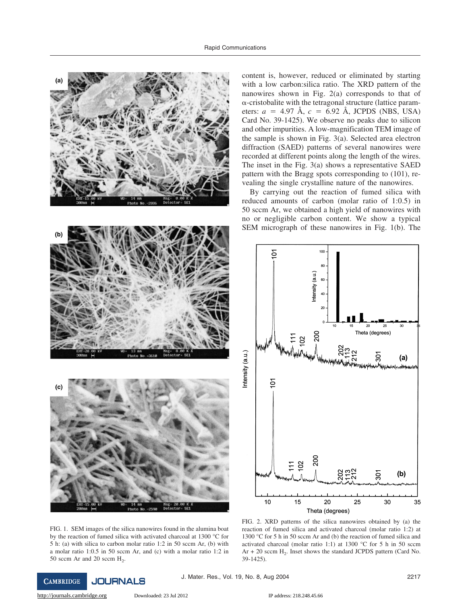





content is, however, reduced or eliminated by starting with a low carbon:silica ratio. The XRD pattern of the nanowires shown in Fig. 2(a) corresponds to that of  $\alpha$ -cristobalite with the tetragonal structure (lattice parameters:  $a = 4.97$  Å,  $c = 6.92$  Å, JCPDS (NBS, USA) Card No. 39-1425). We observe no peaks due to silicon and other impurities. A low-magnification TEM image of the sample is shown in Fig. 3(a). Selected area electron diffraction (SAED) patterns of several nanowires were recorded at different points along the length of the wires. The inset in the Fig. 3(a) shows a representative SAED pattern with the Bragg spots corresponding to (101), revealing the single crystalline nature of the nanowires.

By carrying out the reaction of fumed silica with reduced amounts of carbon (molar ratio of 1:0.5) in 50 sccm Ar, we obtained a high yield of nanowires with no or negligible carbon content. We show a typical SEM micrograph of these nanowires in Fig. 1(b). The



FIG. 1. SEM images of the silica nanowires found in the alumina boat by the reaction of fumed silica with activated charcoal at 1300 °C for 5 h: (a) with silica to carbon molar ratio 1:2 in 50 sccm Ar, (b) with a molar ratio 1:0.5 in 50 sccm Ar, and (c) with a molar ratio 1:2 in 50 sccm Ar and 20 sccm  $H_2$ .

FIG. 2. XRD patterns of the silica nanowires obtained by (a) the reaction of fumed silica and activated charcoal (molar ratio 1:2) at 1300 °C for 5 h in 50 sccm Ar and (b) the reaction of fumed silica and activated charcoal (molar ratio 1:1) at 1300 °C for 5 h in 50 sccm  $Ar + 20$  sccm  $H_2$ . Inset shows the standard JCPDS pattern (Card No. 39-1425).

 $h$ loaded: 23 Jul 2012 IP address: 218.248.45.66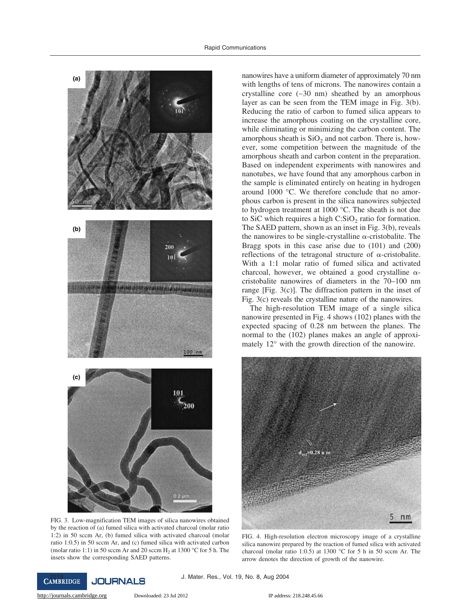

FIG. 3. Low-magnification TEM images of silica nanowires obtained by the reaction of (a) fumed silica with activated charcoal (molar ratio 1:2) in 50 sccm Ar, (b) fumed silica with activated charcoal (molar ratio 1:0.5) in 50 sccm Ar, and (c) fumed silica with activated carbon (molar ratio 1:1) in 50 sccm Ar and 20 sccm  $H_2$  at 1300 °C for 5 h. The insets show the corresponding SAED patterns.

nanowires have a uniform diameter of approximately 70 nm with lengths of tens of microns. The nanowires contain a crystalline core (∼30 nm) sheathed by an amorphous layer as can be seen from the TEM image in Fig. 3(b). Reducing the ratio of carbon to fumed silica appears to increase the amorphous coating on the crystalline core, while eliminating or minimizing the carbon content. The amorphous sheath is  $SiO<sub>2</sub>$  and not carbon. There is, however, some competition between the magnitude of the amorphous sheath and carbon content in the preparation. Based on independent experiments with nanowires and nanotubes, we have found that any amorphous carbon in the sample is eliminated entirely on heating in hydrogen around 1000 °C. We therefore conclude that no amorphous carbon is present in the silica nanowires subjected to hydrogen treatment at 1000 °C. The sheath is not due to SiC which requires a high  $C:SiO<sub>2</sub>$  ratio for formation. The SAED pattern, shown as an inset in Fig. 3(b), reveals the nanowires to be single-crystalline  $\alpha$ -cristobalite. The Bragg spots in this case arise due to (101) and (200) reflections of the tetragonal structure of  $\alpha$ -cristobalite. With a 1:1 molar ratio of fumed silica and activated charcoal, however, we obtained a good crystalline  $\alpha$ cristobalite nanowires of diameters in the 70–100 nm range [Fig. 3(c)]. The diffraction pattern in the inset of Fig. 3(c) reveals the crystalline nature of the nanowires.

The high-resolution TEM image of a single silica nanowire presented in Fig. 4 shows (102) planes with the expected spacing of 0.28 nm between the planes. The normal to the (102) planes makes an angle of approximately 12° with the growth direction of the nanowire.



FIG. 4. High-resolution electron microscopy image of a crystalline silica nanowire prepared by the reaction of fumed silica with activated charcoal (molar ratio 1:0.5) at 1300 °C for 5 h in 50 sccm Ar. The arrow denotes the direction of growth of the nanowire.

CAMBRIDGE JOURNALS J. Mater. Res., Vol. 19, No. 8, Aug 2004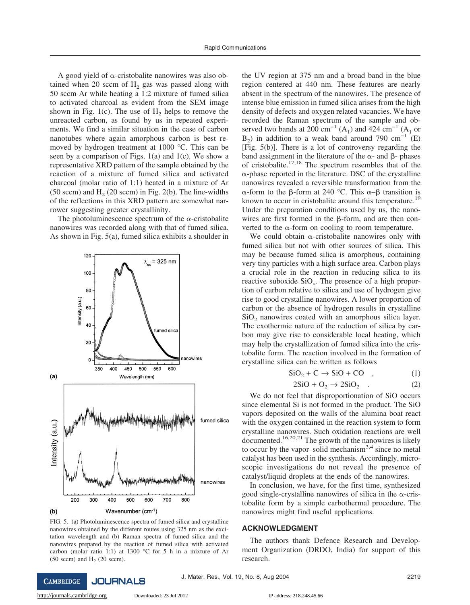A good yield of  $\alpha$ -cristobalite nanowires was also obtained when 20 sccm of  $H<sub>2</sub>$  gas was passed along with 50 sccm Ar while heating a 1:2 mixture of fumed silica to activated charcoal as evident from the SEM image shown in Fig. 1(c). The use of  $H_2$  helps to remove the unreacted carbon, as found by us in repeated experiments. We find a similar situation in the case of carbon nanotubes where again amorphous carbon is best removed by hydrogen treatment at 1000 °C. This can be seen by a comparison of Figs. 1(a) and 1(c). We show a representative XRD pattern of the sample obtained by the reaction of a mixture of fumed silica and activated charcoal (molar ratio of 1:1) heated in a mixture of Ar (50 sccm) and  $H<sub>2</sub>$  (20 sccm) in Fig. 2(b). The line-widths of the reflections in this XRD pattern are somewhat narrower suggesting greater crystallinity.

The photoluminescence spectrum of the  $\alpha$ -cristobalite nanowires was recorded along with that of fumed silica. As shown in Fig. 5(a), fumed silica exhibits a shoulder in



FIG. 5. (a) Photoluminescence spectra of fumed silica and crystalline nanowires obtained by the different routes using 325 nm as the excitation wavelength and (b) Raman spectra of fumed silica and the nanowires prepared by the reaction of fumed silica with activated carbon (molar ratio 1:1) at 1300 °C for 5 h in a mixture of Ar  $(50 \text{ sccm})$  and  $H<sub>2</sub>$  (20 sccm).

the UV region at 375 nm and a broad band in the blue region centered at 440 nm. These features are nearly absent in the spectrum of the nanowires. The presence of intense blue emission in fumed silica arises from the high density of defects and oxygen related vacancies. We have recorded the Raman spectrum of the sample and observed two bands at 200 cm<sup>-1</sup> (A<sub>1</sub>) and 424 cm<sup>-1</sup> (A<sub>1</sub> or B<sub>2</sub>) in addition to a weak band around 790 cm<sup>-1</sup> (E)  $[Fig. 5(b)]$ . There is a lot of controversy regarding the band assignment in the literature of the  $\alpha$ - and  $\beta$ - phases of cristobalite. $17,18$  The spectrum resembles that of the  $\alpha$ -phase reported in the literature. DSC of the crystalline nanowires revealed a reversible transformation from the  $\alpha$ -form to the  $\beta$ -form at 240 °C. This  $\alpha$ - $\beta$  transition is known to occur in cristobalite around this temperature.<sup>19</sup> Under the preparation conditions used by us, the nanowires are first formed in the  $\beta$ -form, and are then converted to the  $\alpha$ -form on cooling to room temperature.

We could obtain  $\alpha$ -cristobalite nanowires only with fumed silica but not with other sources of silica. This may be because fumed silica is amorphous, containing very tiny particles with a high surface area. Carbon plays a crucial role in the reaction in reducing silica to its reactive suboxide  $SiO_x$ . The presence of a high proportion of carbon relative to silica and use of hydrogen give rise to good crystalline nanowires. A lower proportion of carbon or the absence of hydrogen results in crystalline  $SiO<sub>2</sub>$  nanowires coated with an amorphous silica layer. The exothermic nature of the reduction of silica by carbon may give rise to considerable local heating, which may help the crystallization of fumed silica into the cristobalite form. The reaction involved in the formation of crystalline silica can be written as follows

$$
SiO_2 + C \rightarrow SiO + CO \quad , \tag{1}
$$

$$
2SiO + O_2 \rightarrow 2SiO_2 . \tag{2}
$$

We do not feel that disproportionation of SiO occurs since elemental Si is not formed in the product. The SiO vapors deposited on the walls of the alumina boat react with the oxygen contained in the reaction system to form crystalline nanowires. Such oxidation reactions are well documented.<sup>16,20,21</sup> The growth of the nanowires is likely to occur by the vapor–solid mechanism $3,4$  since no metal catalyst has been used in the synthesis. Accordingly, microscopic investigations do not reveal the presence of catalyst/liquid droplets at the ends of the nanowires.

In conclusion, we have, for the first time, synthesized good single-crystalline nanowires of silica in the  $\alpha$ -cristobalite form by a simple carbothermal procedure. The nanowires might find useful applications.

## **ACKNOWLEDGMENT**

The authors thank Defence Research and Development Organization (DRDO, India) for support of this research.

**JOURNALS CAMBRIDGE** 

 $h$ ownloaded: 23 Jul 2012 IP address: 218.248.45.66